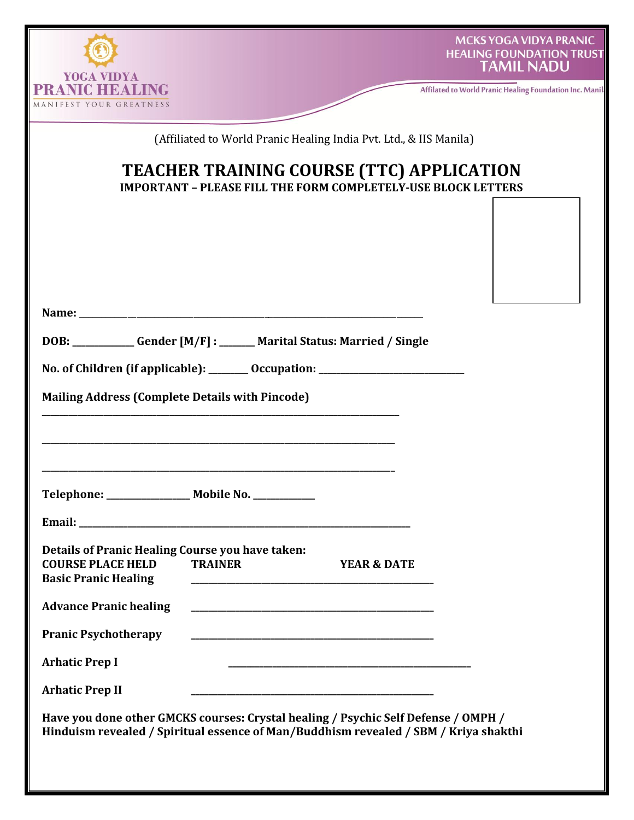| YOGA VIDYA<br>NICHEA                                    |                                                                                                                                                                            |                        | <b>MCKS YOGA VIDYA PRANIC</b><br><b>HEALING FOUNDATION TRUS</b><br><b>TAMIL NADU</b><br>Affilated to World Pranic Healing Foundation Inc. Ma |
|---------------------------------------------------------|----------------------------------------------------------------------------------------------------------------------------------------------------------------------------|------------------------|----------------------------------------------------------------------------------------------------------------------------------------------|
| MANIFEST YOUR GREATNESS                                 |                                                                                                                                                                            |                        |                                                                                                                                              |
|                                                         | (Affiliated to World Pranic Healing India Pvt. Ltd., & IIS Manila)                                                                                                         |                        |                                                                                                                                              |
|                                                         | TEACHER TRAINING COURSE (TTC) APPLICATION                                                                                                                                  |                        |                                                                                                                                              |
|                                                         | <b>IMPORTANT - PLEASE FILL THE FORM COMPLETELY-USE BLOCK LETTERS</b>                                                                                                       |                        |                                                                                                                                              |
|                                                         |                                                                                                                                                                            |                        |                                                                                                                                              |
|                                                         |                                                                                                                                                                            |                        |                                                                                                                                              |
|                                                         |                                                                                                                                                                            |                        |                                                                                                                                              |
|                                                         |                                                                                                                                                                            |                        |                                                                                                                                              |
|                                                         |                                                                                                                                                                            |                        |                                                                                                                                              |
|                                                         | DOB: _____________Gender [M/F] : _______ Marital Status: Married / Single                                                                                                  |                        |                                                                                                                                              |
|                                                         | No. of Children (if applicable): ________ Occupation: __________________________                                                                                           |                        |                                                                                                                                              |
| <b>Mailing Address (Complete Details with Pincode)</b>  |                                                                                                                                                                            |                        |                                                                                                                                              |
|                                                         |                                                                                                                                                                            |                        |                                                                                                                                              |
|                                                         |                                                                                                                                                                            |                        |                                                                                                                                              |
|                                                         |                                                                                                                                                                            |                        |                                                                                                                                              |
| Telephone: _______________ Mobile No. __________        |                                                                                                                                                                            |                        |                                                                                                                                              |
|                                                         |                                                                                                                                                                            |                        |                                                                                                                                              |
| Details of Pranic Healing Course you have taken:        |                                                                                                                                                                            |                        |                                                                                                                                              |
| <b>COURSE PLACE HELD</b><br><b>Basic Pranic Healing</b> | <b>TRAINER</b><br><u> 1989 - De de Branches de Branches de Branches de Branches de Branches de Branches de Branches de Branches de</u>                                     | <b>YEAR &amp; DATE</b> |                                                                                                                                              |
| <b>Advance Pranic healing</b>                           |                                                                                                                                                                            |                        |                                                                                                                                              |
| <b>Pranic Psychotherapy</b>                             |                                                                                                                                                                            |                        |                                                                                                                                              |
| <b>Arhatic Prep I</b>                                   |                                                                                                                                                                            |                        |                                                                                                                                              |
|                                                         |                                                                                                                                                                            |                        |                                                                                                                                              |
| <b>Arhatic Prep II</b>                                  |                                                                                                                                                                            |                        |                                                                                                                                              |
|                                                         | Have you done other GMCKS courses: Crystal healing / Psychic Self Defense / OMPH /<br>Hinduism revealed / Spiritual essence of Man/Buddhism revealed / SBM / Kriya shakthi |                        |                                                                                                                                              |
|                                                         |                                                                                                                                                                            |                        |                                                                                                                                              |
|                                                         |                                                                                                                                                                            |                        |                                                                                                                                              |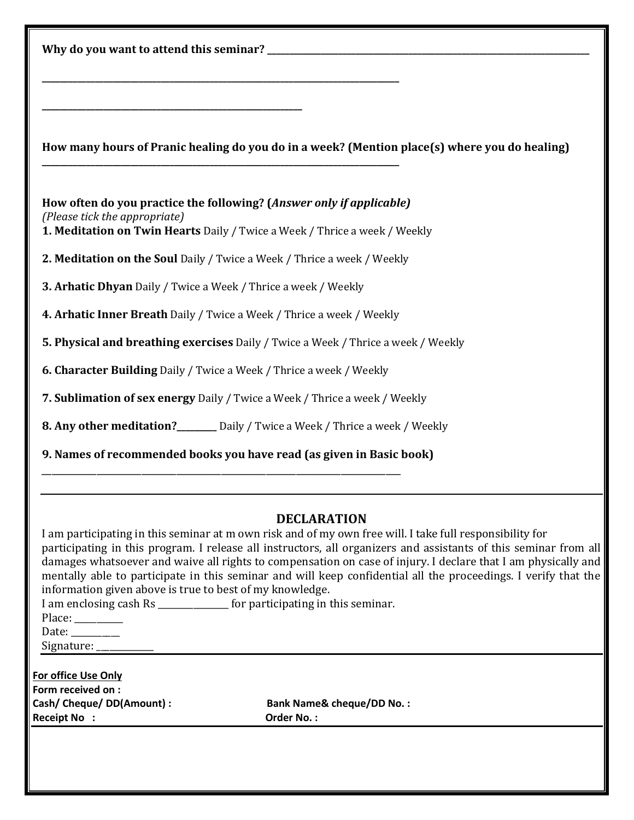|                                                                                                                                                                                     | How many hours of Pranic healing do you do in a week? (Mention place(s) where you do healing)                                                                                                                                                                                                                                                                                                                                                                                         |  |  |
|-------------------------------------------------------------------------------------------------------------------------------------------------------------------------------------|---------------------------------------------------------------------------------------------------------------------------------------------------------------------------------------------------------------------------------------------------------------------------------------------------------------------------------------------------------------------------------------------------------------------------------------------------------------------------------------|--|--|
| How often do you practice the following? (Answer only if applicable)<br>(Please tick the appropriate)<br>1. Meditation on Twin Hearts Daily / Twice a Week / Thrice a week / Weekly |                                                                                                                                                                                                                                                                                                                                                                                                                                                                                       |  |  |
| 2. Meditation on the Soul Daily / Twice a Week / Thrice a week / Weekly                                                                                                             |                                                                                                                                                                                                                                                                                                                                                                                                                                                                                       |  |  |
| 3. Arhatic Dhyan Daily / Twice a Week / Thrice a week / Weekly                                                                                                                      |                                                                                                                                                                                                                                                                                                                                                                                                                                                                                       |  |  |
| 4. Arhatic Inner Breath Daily / Twice a Week / Thrice a week / Weekly                                                                                                               |                                                                                                                                                                                                                                                                                                                                                                                                                                                                                       |  |  |
| 5. Physical and breathing exercises Daily / Twice a Week / Thrice a week / Weekly                                                                                                   |                                                                                                                                                                                                                                                                                                                                                                                                                                                                                       |  |  |
| 6. Character Building Daily / Twice a Week / Thrice a week / Weekly                                                                                                                 |                                                                                                                                                                                                                                                                                                                                                                                                                                                                                       |  |  |
| 7. Sublimation of sex energy Daily / Twice a Week / Thrice a week / Weekly                                                                                                          |                                                                                                                                                                                                                                                                                                                                                                                                                                                                                       |  |  |
| 8. Any other meditation?_______ Daily / Twice a Week / Thrice a week / Weekly                                                                                                       |                                                                                                                                                                                                                                                                                                                                                                                                                                                                                       |  |  |
|                                                                                                                                                                                     |                                                                                                                                                                                                                                                                                                                                                                                                                                                                                       |  |  |
| 9. Names of recommended books you have read (as given in Basic book)                                                                                                                |                                                                                                                                                                                                                                                                                                                                                                                                                                                                                       |  |  |
|                                                                                                                                                                                     |                                                                                                                                                                                                                                                                                                                                                                                                                                                                                       |  |  |
| information given above is true to best of my knowledge.<br>I am enclosing cash Rs ______________ for participating in this seminar.<br>Place: ________<br>Date: ________           | <b>DECLARATION</b><br>I am participating in this seminar at m own risk and of my own free will. I take full responsibility for<br>participating in this program. I release all instructors, all organizers and assistants of this seminar from all<br>damages whatsoever and waive all rights to compensation on case of injury. I declare that I am physically and<br>mentally able to participate in this seminar and will keep confidential all the proceedings. I verify that the |  |  |
| <b>For office Use Only</b>                                                                                                                                                          |                                                                                                                                                                                                                                                                                                                                                                                                                                                                                       |  |  |
| Form received on :<br>Cash/ Cheque/ DD(Amount) :<br><b>Receipt No:</b>                                                                                                              | <b>Bank Name&amp; cheque/DD No.:</b><br><b>Order No.:</b>                                                                                                                                                                                                                                                                                                                                                                                                                             |  |  |
|                                                                                                                                                                                     |                                                                                                                                                                                                                                                                                                                                                                                                                                                                                       |  |  |